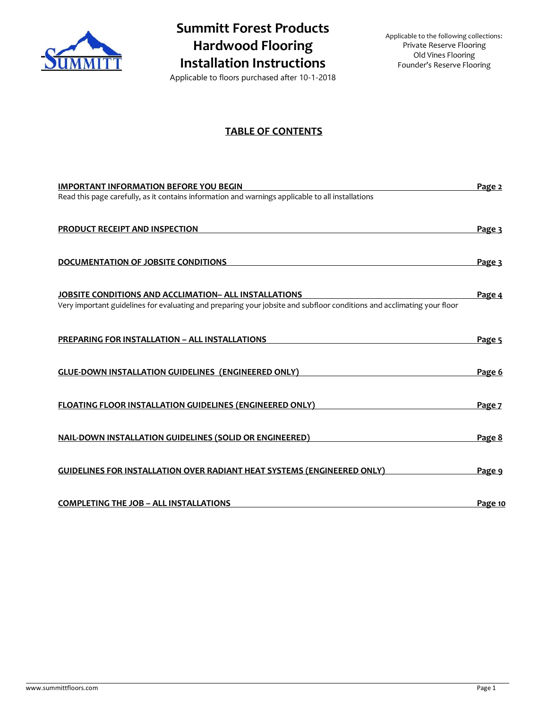

# **Summitt Forest Products Hardwood Flooring Installation Instructions**

Applicable to the following collections: Private Reserve Flooring Old Vines Flooring Founder's Reserve Flooring

Applicable to floors purchased after 10-1-2018

## **TABLE OF CONTENTS**

| <b>IMPORTANT INFORMATION BEFORE YOU BEGIN</b><br>Read this page carefully, as it contains information and warnings applicable to all installations                                     | Page 2        |
|----------------------------------------------------------------------------------------------------------------------------------------------------------------------------------------|---------------|
| PRODUCT RECEIPT AND INSPECTION                                                                                                                                                         | Page 3        |
| DOCUMENTATION OF JOBSITE CONDITIONS                                                                                                                                                    | Page 3        |
| <b>JOBSITE CONDITIONS AND ACCLIMATION- ALL INSTALLATIONS</b><br>Very important guidelines for evaluating and preparing your jobsite and subfloor conditions and acclimating your floor | Page 4        |
| PREPARING FOR INSTALLATION - ALL INSTALLATIONS                                                                                                                                         | Page 5        |
| <b>GLUE-DOWN INSTALLATION GUIDELINES (ENGINEERED ONLY)</b>                                                                                                                             | Page 6        |
| <b>FLOATING FLOOR INSTALLATION GUIDELINES (ENGINEERED ONLY)</b>                                                                                                                        | Page 7        |
| <b>NAIL-DOWN INSTALLATION GUIDELINES (SOLID OR ENGINEERED)</b>                                                                                                                         | Page 8        |
| <b>GUIDELINES FOR INSTALLATION OVER RADIANT HEAT SYSTEMS (ENGINEERED ONLY)</b>                                                                                                         | <u>Page 9</u> |
| <b>COMPLETING THE JOB - ALL INSTALLATIONS</b>                                                                                                                                          | Page 10       |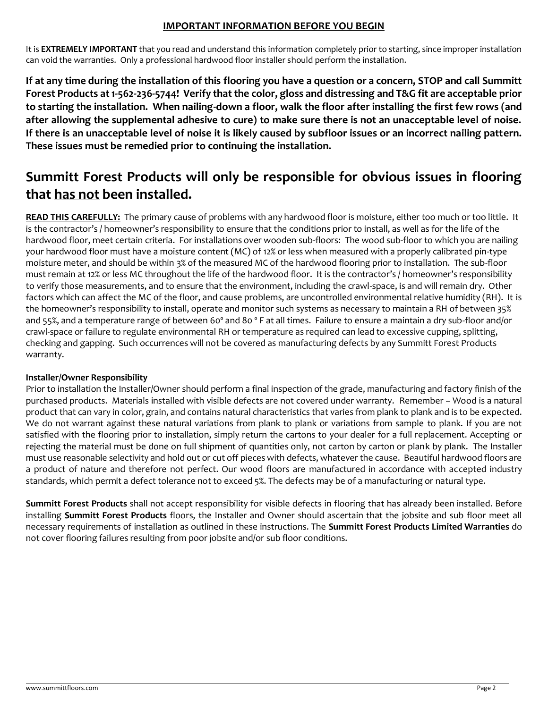# **IMPORTANT INFORMATION BEFORE YOU BEGIN**

It is **EXTREMELY IMPORTANT** that you read and understand this information completely prior to starting, since improper installation can void the warranties. Only a professional hardwood floor installer should perform the installation.

**If at any time during the installation of this flooring you have a question or a concern, STOP and call Summitt Forest Products at 1-562-236-5744! Verify that the color, gloss and distressing and T&G fit are acceptable prior to starting the installation. When nailing-down a floor, walk the floor after installing the first few rows (and after allowing the supplemental adhesive to cure) to make sure there is not an unacceptable level of noise. If there is an unacceptable level of noise it is likely caused by subfloor issues or an incorrect nailing pattern. These issues must be remedied prior to continuing the installation.**

# **Summitt Forest Products will only be responsible for obvious issues in flooring that has not been installed.**

**READ THIS CAREFULLY:** The primary cause of problems with any hardwood floor is moisture, either too much or too little. It is the contractor's / homeowner's responsibility to ensure that the conditions prior to install, as well as for the life of the hardwood floor, meet certain criteria. For installations over wooden sub-floors: The wood sub-floor to which you are nailing your hardwood floor must have a moisture content (MC) of 12% or less when measured with a properly calibrated pin-type moisture meter, and should be within 3% of the measured MC of the hardwood flooring prior to installation. The sub-floor must remain at 12% or less MC throughout the life of the hardwood floor. It is the contractor's / homeowner's responsibility to verify those measurements, and to ensure that the environment, including the crawl-space, is and will remain dry. Other factors which can affect the MC of the floor, and cause problems, are uncontrolled environmental relative humidity (RH). It is the homeowner's responsibility to install, operate and monitor such systems as necessary to maintain a RH of between 35% and 55%, and a temperature range of between 60º and 80 º F at all times. Failure to ensure a maintain a dry sub-floor and/or crawl-space or failure to regulate environmental RH or temperature as required can lead to excessive cupping, splitting, checking and gapping. Such occurrences will not be covered as manufacturing defects by any Summitt Forest Products warranty.

## **Installer/Owner Responsibility**

Prior to installation the Installer/Owner should perform a final inspection of the grade, manufacturing and factory finish of the purchased products.Materials installed with visible defects are not covered under warranty. Remember – Wood is a natural product that can vary in color, grain, and contains natural characteristics that varies from plank to plank and is to be expected. We do not warrant against these natural variations from plank to plank or variations from sample to plank. If you are not satisfied with the flooring prior to installation, simply return the cartons to your dealer for a full replacement. Accepting or rejecting the material must be done on full shipment of quantities only, not carton by carton or plank by plank. The Installer must use reasonable selectivity and hold out or cut off pieces with defects, whatever the cause. Beautiful hardwood floors are a product of nature and therefore not perfect. Our wood floors are manufactured in accordance with accepted industry standards, which permit a defect tolerance not to exceed 5%. The defects may be of a manufacturing or natural type.

**Summitt Forest Products** shall not accept responsibility for visible defects in flooring that has already been installed. Before installing **Summitt Forest Products** floors, the Installer and Owner should ascertain that the jobsite and sub floor meet all necessary requirements of installation as outlined in these instructions. The **Summitt Forest Products Limited Warranties** do not cover flooring failures resulting from poor jobsite and/or sub floor conditions.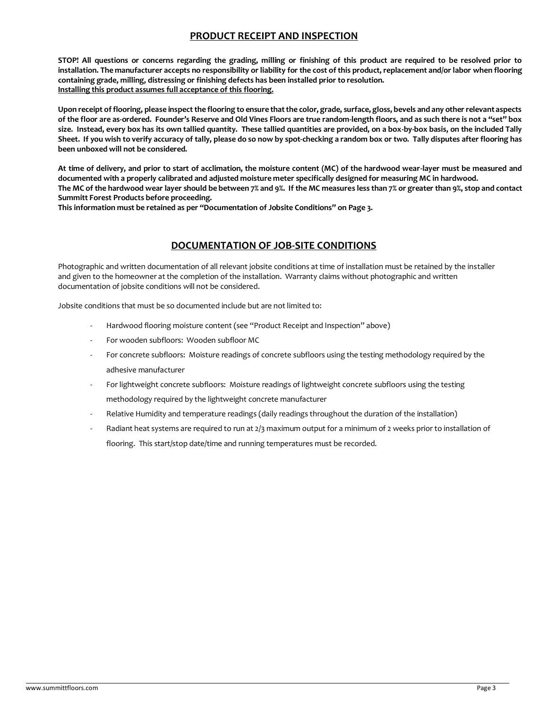## **PRODUCT RECEIPT AND INSPECTION**

**STOP! All questions or concerns regarding the grading, milling or finishing of this product are required to be resolved prior to installation. The manufacturer accepts no responsibility or liability for the cost of this product, replacement and/or labor when flooring containing grade, milling, distressing or finishing defects has been installed prior to resolution. Installing this product assumes full acceptance of this flooring.**

**Upon receipt of flooring, please inspect the flooring to ensure that the color, grade, surface, gloss, bevels and any other relevant aspects of the floor are as-ordered. Founder's Reserve and Old Vines Floors are true random-length floors, and as such there is not a "set" box size. Instead, every box has its own tallied quantity. These tallied quantities are provided, on a box-by-box basis, on the included Tally Sheet. If you wish to verify accuracy of tally, please do so now by spot-checking a random box or two. Tally disputes after flooring has been unboxed will not be considered.**

**At time of delivery, and prior to start of acclimation, the moisture content (MC) of the hardwood wear-layer must be measured and documented with a properly calibrated and adjusted moisture meter specifically designed for measuring MC in hardwood. The MC of the hardwood wear layer should be between 7% and 9%. If the MC measures less than 7% or greater than 9%, stop and contact Summitt Forest Products before proceeding.** 

**This information must be retained as per "Documentation of Jobsite Conditions" on Page 3.**

## **DOCUMENTATION OF JOB-SITE CONDITIONS**

Photographic and written documentation of all relevant jobsite conditions at time of installation must be retained by the installer and given to the homeowner at the completion of the installation. Warranty claims without photographic and written documentation of jobsite conditions will not be considered.

Jobsite conditions that must be so documented include but are not limited to:

- Hardwood flooring moisture content (see "Product Receipt and Inspection" above)
- For wooden subfloors: Wooden subfloor MC
- For concrete subfloors: Moisture readings of concrete subfloors using the testing methodology required by the adhesive manufacturer
- For lightweight concrete subfloors: Moisture readings of lightweight concrete subfloors using the testing methodology required by the lightweight concrete manufacturer
- Relative Humidity and temperature readings (daily readings throughout the duration of the installation)
- Radiant heat systems are required to run at 2/3 maximum output for a minimum of 2 weeks prior to installation of flooring. This start/stop date/time and running temperatures must be recorded.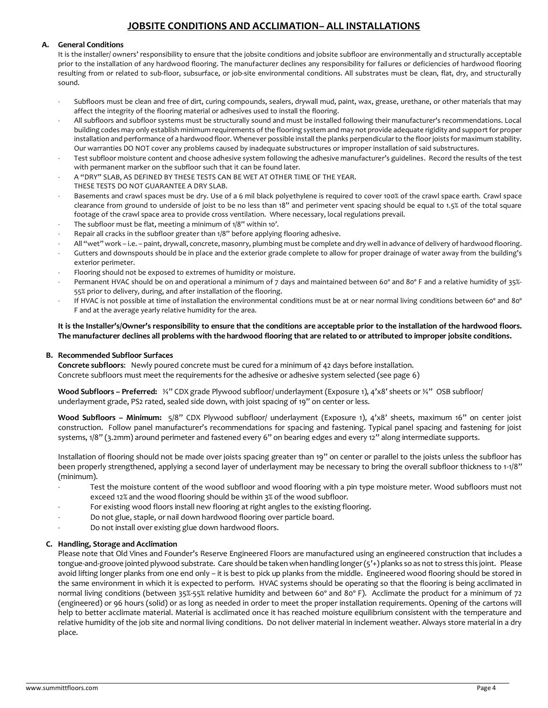# **JOBSITE CONDITIONS AND ACCLIMATION– ALL INSTALLATIONS**

#### **A. General Conditions**

It is the installer/ owners' responsibility to ensure that the jobsite conditions and jobsite subfloor are environmentally and structurally acceptable prior to the installation of any hardwood flooring. The manufacturer declines any responsibility for failures or deficiencies of hardwood flooring resulting from or related to sub-floor, subsurface, or job-site environmental conditions. All substrates must be clean, flat, dry, and structurally sound.

- Subfloors must be clean and free of dirt, curing compounds, sealers, drywall mud, paint, wax, grease, urethane, or other materials that may affect the integrity of the flooring material or adhesives used to install the flooring.
- All subfloors and subfloor systems must be structurally sound and must be installed following their manufacturer's recommendations. Local building codes may only establish minimum requirements of the flooring system and may not provide adequate rigidity and support for proper installation and performance of a hardwood floor. Whenever possible install the planks perpendicular to the floor joists for maximum stability. Our warranties DO NOT cover any problems caused by inadequate substructures or improper installation of said substructures.
- Test subfloor moisture content and choose adhesive system following the adhesive manufacturer's guidelines. Record the results of the test with permanent marker on the subfloor such that it can be found later.
- A "DRY" SLAB, AS DEFINED BY THESE TESTS CAN BE WET AT OTHER TIME OF THE YEAR.
- THESE TESTS DO NOT GUARANTEE A DRY SLAB.
- Basements and crawl spaces must be dry. Use of a 6 mil black polyethylene is required to cover 100% of the crawl space earth. Crawl space clearance from ground to underside of joist to be no less than 18" and perimeter vent spacing should be equal to 1.5% of the total square footage of the crawl space area to provide cross ventilation. Where necessary, local regulations prevail.
- The subfloor must be flat, meeting a minimum of 1/8" within 10'.
- Repair all cracks in the subfloor greater than 1/8" before applying flooring adhesive.
- All "wet" work i.e. paint, drywall, concrete, masonry, plumbing must be complete and dry well in advance of delivery of hardwood flooring.
- Gutters and downspouts should be in place and the exterior grade complete to allow for proper drainage of water away from the building's exterior perimeter.
- Flooring should not be exposed to extremes of humidity or moisture.
- Permanent HVAC should be on and operational a minimum of 7 days and maintained between 60° and 80° F and a relative humidity of 35%-55% prior to delivery, during, and after installation of the flooring.
- If HVAC is not possible at time of installation the environmental conditions must be at or near normal living conditions between 60° and 80° F and at the average yearly relative humidity for the area.

#### **It is the Installer's/Owner's responsibility to ensure that the conditions are acceptable prior to the installation of the hardwood floors. The manufacturer declines all problems with the hardwood flooring that are related to or attributed to improper jobsite conditions.**

#### **B. Recommended Subfloor Surfaces**

**Concrete subfloors**: Newly poured concrete must be cured for a minimum of 42 days before installation. Concrete subfloors must meet the requirements for the adhesive or adhesive system selected (see page 6)

**Wood Subfloors – Preferred:** ¾" CDX grade Plywood subfloor/ underlayment (Exposure 1), 4'x8' sheets or ¾" OSB subfloor/ underlayment grade, PS2 rated, sealed side down, with joist spacing of 19" on center or less.

**Wood Subfloors – Minimum:** 5/8" CDX Plywood subfloor/ underlayment (Exposure 1), 4'x8' sheets, maximum 16" on center joist construction. Follow panel manufacturer's recommendations for spacing and fastening. Typical panel spacing and fastening for joist systems, 1/8" (3.2mm) around perimeter and fastened every 6" on bearing edges and every 12" along intermediate supports.

Installation of flooring should not be made over joists spacing greater than 19" on center or parallel to the joists unless the subfloor has been properly strengthened, applying a second layer of underlayment may be necessary to bring the overall subfloor thickness to 1-1/8" (minimum).

- Test the moisture content of the wood subfloor and wood flooring with a pin type moisture meter. Wood subfloors must not exceed 12% and the wood flooring should be within 3% of the wood subfloor.
- For existing wood floors install new flooring at right angles to the existing flooring.
- Do not glue, staple, or nail down hardwood flooring over particle board.
- Do not install over existing glue down hardwood floors.

#### **C. Handling, Storage and Acclimation**

Please note that Old Vines and Founder's Reserve Engineered Floors are manufactured using an engineered construction that includes a tongue-and-groove jointed plywood substrate. Care should be taken when handling longer (5'+) planks so as not to stress this joint. Please avoid lifting longer planks from one end only – it is best to pick up planks from the middle. Engineered wood flooring should be stored in the same environment in which it is expected to perform. HVAC systems should be operating so that the flooring is being acclimated in normal living conditions (between 35%-55% relative humidity and between 60° and 80° F). Acclimate the product for a minimum of 72 (engineered) or 96 hours (solid) or as long as needed in order to meet the proper installation requirements. Opening of the cartons will help to better acclimate material. Material is acclimated once it has reached moisture equilibrium consistent with the temperature and relative humidity of the job site and normal living conditions. Do not deliver material in inclement weather. Always store material in a dry place.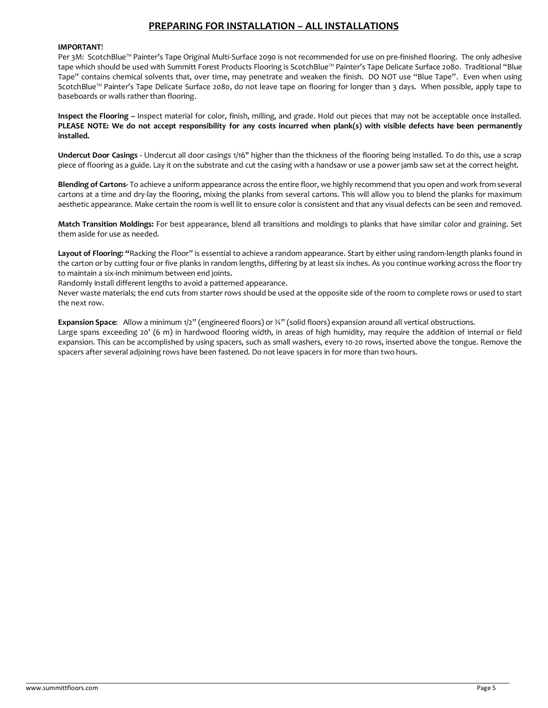# **PREPARING FOR INSTALLATION – ALL INSTALLATIONS**

#### **IMPORTANT**!

Per 3M: ScotchBlue™ Painter's Tape Original Multi-Surface 2090 is not recommended for use on pre-finished flooring. The only adhesive tape which should be used with Summitt Forest Products Flooring is ScotchBlue™ Painter's Tape Delicate Surface 2080. Traditional "Blue Tape" contains chemical solvents that, over time, may penetrate and weaken the finish. DO NOT use "Blue Tape". Even when using ScotchBlue™ Painter's Tape Delicate Surface 2080, do not leave tape on flooring for longer than 3 days. When possible, apply tape to baseboards or walls rather than flooring.

**Inspect the Flooring –** Inspect material for color, finish, milling, and grade. Hold out pieces that may not be acceptable once installed. **PLEASE NOTE: We do not accept responsibility for any costs incurred when plank(s) with visible defects have been permanently installed.**

**Undercut Door Casings -** Undercut all door casings 1/16" higher than the thickness of the flooring being installed. To do this, use a scrap piece of flooring as a guide. Lay it on the substrate and cut the casing with a handsaw or use a power jamb saw set at the correct height.

**Blending of Cartons-** To achieve a uniform appearance across the entire floor, we highly recommend that you open and work from several cartons at a time and dry-lay the flooring, mixing the planks from several cartons. This will allow you to blend the planks for maximum aesthetic appearance. Make certain the room is well lit to ensure color is consistent and that any visual defects can be seen and removed.

**Match Transition Moldings:** For best appearance, blend all transitions and moldings to planks that have similar color and graining. Set them aside for use as needed.

**Layout of Flooring: "**Racking the Floor" is essential to achieve a random appearance. Start by either using random-length planks found in the carton or by cutting four or five planks in random lengths, differing by at least six inches. As you continue working across the floor try to maintain a six-inch minimum between end joints.

Randomly install different lengths to avoid a patterned appearance.

Never waste materials; the end cuts from starter rows should be used at the opposite side of the room to complete rows or used to start the next row.

**Expansion Space**: Allow a minimum 1/2" (engineered floors) or ¾" (solid floors) expansion around all vertical obstructions. Large spans exceeding 20' (6 m) in hardwood flooring width, in areas of high humidity, may require the addition of internal or field expansion. This can be accomplished by using spacers, such as small washers, every 10-20 rows, inserted above the tongue. Remove the

spacers after several adjoining rows have been fastened. Do not leave spacers in for more than two hours.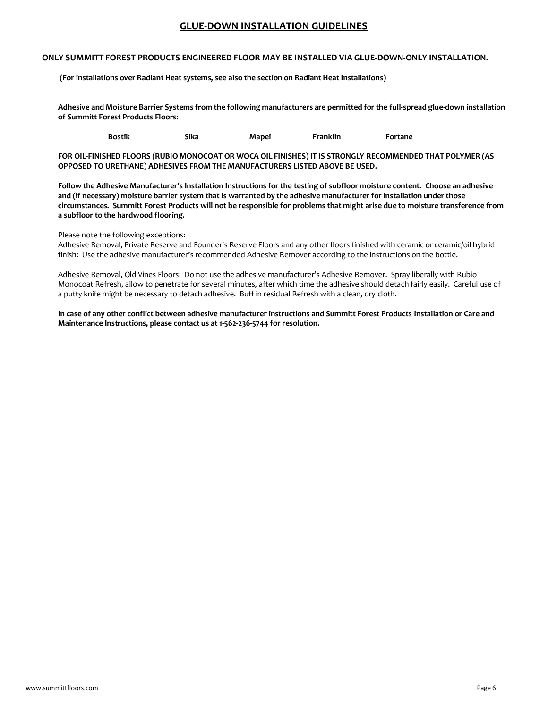### **GLUE-DOWN INSTALLATION GUIDELINES**

#### **ONLY SUMMITT FOREST PRODUCTS ENGINEERED FLOOR MAY BE INSTALLED VIA GLUE-DOWN-ONLY INSTALLATION.**

**(For installations over Radiant Heat systems, see also the section on Radiant Heat Installations)**

**Adhesive and Moisture Barrier Systems from the following manufacturers are permitted for the full-spread glue-down installation of Summitt Forest Products Floors:**

**Bostik Sika Mapei Franklin Fortane**

**FOR OIL-FINISHED FLOORS (RUBIO MONOCOAT OR WOCA OIL FINISHES) IT IS STRONGLY RECOMMENDED THAT POLYMER (AS OPPOSED TO URETHANE) ADHESIVES FROM THE MANUFACTURERS LISTED ABOVE BE USED.**

**Follow the Adhesive Manufacturer's Installation Instructions for the testing of subfloor moisture content. Choose an adhesive and (if necessary) moisture barrier system that is warranted by the adhesive manufacturer for installation under those circumstances. Summitt Forest Products will not be responsible for problems that might arise due to moisture transference from a subfloor to the hardwood flooring.**

#### Please note the following exceptions:

Adhesive Removal, Private Reserve and Founder's Reserve Floors and any other floors finished with ceramic or ceramic/oil hybrid finish: Use the adhesive manufacturer's recommended Adhesive Remover according to the instructions on the bottle.

Adhesive Removal, Old Vines Floors: Do not use the adhesive manufacturer's Adhesive Remover. Spray liberally with Rubio Monocoat Refresh, allow to penetrate for several minutes, after which time the adhesive should detach fairly easily. Careful use of a putty knife might be necessary to detach adhesive. Buff in residual Refresh with a clean, dry cloth.

**In case of any other conflict between adhesive manufacturer instructions and Summitt Forest Products Installation or Care and Maintenance Instructions, please contact us at 1-562-236-5744 for resolution.**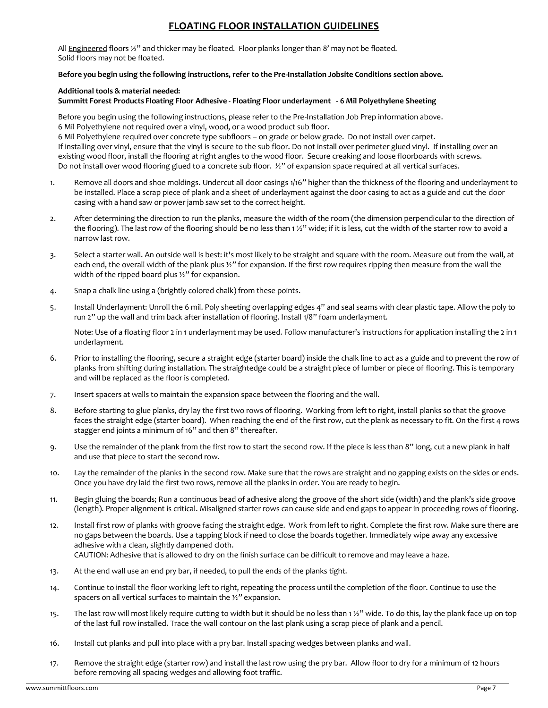# **FLOATING FLOOR INSTALLATION GUIDELINES**

All Engineered floors  $\frac{1}{2}$ " and thicker may be floated. Floor planks longer than 8' may not be floated. Solid floors may not be floated.

#### **Before you begin using the following instructions, refer to the Pre-Installation Jobsite Conditions section above.**

#### **Additional tools & material needed:**

#### **Summitt Forest Products Floating Floor Adhesive - Floating Floor underlayment - 6 Mil Polyethylene Sheeting**

Before you begin using the following instructions, please refer to the Pre-Installation Job Prep information above. 6 Mil Polyethylene not required over a vinyl, wood, or a wood product sub floor.

6 Mil Polyethylene required over concrete type subfloors – on grade or below grade. Do not install over carpet. If installing over vinyl, ensure that the vinyl is secure to the sub floor. Do not install over perimeter glued vinyl. If installing over an existing wood floor, install the flooring at right angles to the wood floor. Secure creaking and loose floorboards with screws. Do not install over wood flooring glued to a concrete sub floor.  $\frac{1}{2}$ " of expansion space required at all vertical surfaces.

- 1. Remove all doors and shoe moldings. Undercut all door casings 1/16" higher than the thickness of the flooring and underlayment to be installed. Place a scrap piece of plank and a sheet of underlayment against the door casing to act as a guide and cut the door casing with a hand saw or power jamb saw set to the correct height.
- 2. After determining the direction to run the planks, measure the width of the room (the dimension perpendicular to the direction of the flooring). The last row of the flooring should be no less than 1 ½" wide; if it is less, cut the width of the starter row to avoid a narrow last row.
- 3. Select a starter wall. An outside wall is best: it's most likely to be straight and square with the room. Measure out from the wall, at each end, the overall width of the plank plus 1/2" for expansion. If the first row requires ripping then measure from the wall the width of the ripped board plus ½" for expansion.
- 4. Snap a chalk line using a (brightly colored chalk) from these points.
- 5. Install Underlayment: Unroll the 6 mil. Poly sheeting overlapping edges 4" and seal seams with clear plastic tape. Allow the poly to run 2" up the wall and trim back after installation of flooring. Install 1/8" foam underlayment.

Note: Use of a floating floor 2 in 1 underlayment may be used. Follow manufacturer's instructions for application installing the 2 in 1 underlayment.

- 6. Prior to installing the flooring, secure a straight edge (starter board) inside the chalk line to act as a guide and to prevent the row of planks from shifting during installation. The straightedge could be a straight piece of lumber or piece of flooring. This is temporary and will be replaced as the floor is completed.
- 7. Insert spacers at walls to maintain the expansion space between the flooring and the wall.
- 8. Before starting to glue planks, dry lay the first two rows of flooring. Working from left to right, install planks so that the groove faces the straight edge (starter board). When reaching the end of the first row, cut the plank as necessary to fit. On the first 4 rows stagger end joints a minimum of 16" and then 8" thereafter.
- 9. Use the remainder of the plank from the first row to start the second row. If the piece is less than 8" long, cut a new plank in half and use that piece to start the second row.
- 10. Lay the remainder of the planks in the second row. Make sure that the rows are straight and no gapping exists on the sides or ends. Once you have dry laid the first two rows, remove all the planks in order. You are ready to begin.
- 11. Begin gluing the boards; Run a continuous bead of adhesive along the groove of the short side (width) and the plank's side groove (length). Proper alignment is critical. Misaligned starter rows can cause side and end gaps to appear in proceeding rows of flooring.
- 12. Install first row of planks with groove facing the straight edge. Work from left to right. Complete the first row. Make sure there are no gaps between the boards. Use a tapping block if need to close the boards together. Immediately wipe away any excessive adhesive with a clean, slightly dampened cloth. CAUTION: Adhesive that is allowed to dry on the finish surface can be difficult to remove and may leave a haze.
- 13. At the end wall use an end pry bar, if needed, to pull the ends of the planks tight.
- 14. Continue to install the floor working left to right, repeating the process until the completion of the floor. Continue to use the spacers on all vertical surfaces to maintain the ½" expansion.
- 15. The last row will most likely require cutting to width but it should be no less than 1 ½" wide. To do this, lay the plank face up on top of the last full row installed. Trace the wall contour on the last plank using a scrap piece of plank and a pencil.
- 16. Install cut planks and pull into place with a pry bar. Install spacing wedges between planks and wall.
- 17. Remove the straight edge (starter row) and install the last row using the pry bar. Allow floor to dry for a minimum of 12 hours before removing all spacing wedges and allowing foot traffic.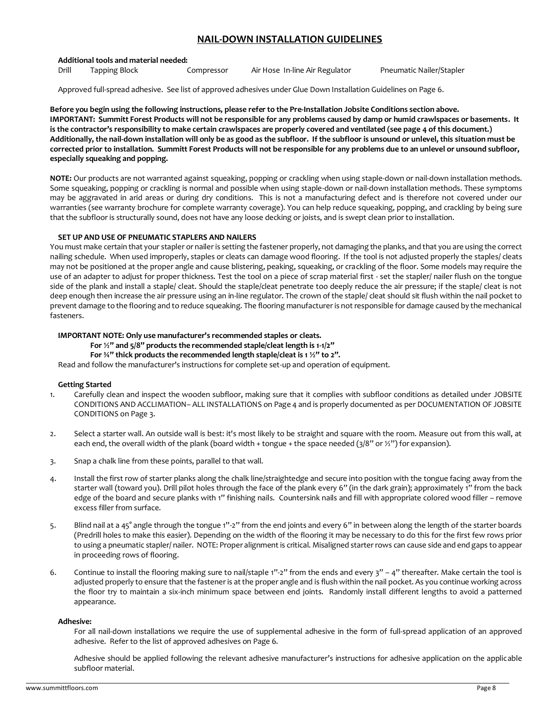### **NAIL-DOWN INSTALLATION GUIDELINES**

#### **Additional tools and material needed:**

Drill Tapping Block Compressor Air Hose In-line Air Regulator Pneumatic Nailer/Stapler

Approved full-spread adhesive. See list of approved adhesives under Glue Down Installation Guidelines on Page 6.

**Before you begin using the following instructions, please refer to the Pre-Installation Jobsite Conditions section above. IMPORTANT: Summitt Forest Products will not be responsible for any problems caused by damp or humid crawlspaces or basements. It is the contractor's responsibility to make certain crawlspaces are properly covered and ventilated (see page 4 of this document.) Additionally, the nail-down installation will only be as good as the subfloor. If the subfloor is unsound or unlevel, this situation must be corrected prior to installation. Summitt Forest Products will not be responsible for any problems due to an unlevel or unsound subfloor, especially squeaking and popping.**

**NOTE:** Our products are not warranted against squeaking, popping or crackling when using staple-down or nail-down installation methods. Some squeaking, popping or crackling is normal and possible when using staple-down or nail-down installation methods. These symptoms may be aggravated in arid areas or during dry conditions. This is not a manufacturing defect and is therefore not covered under our warranties (see warranty brochure for complete warranty coverage). You can help reduce squeaking, popping, and crackling by being sure that the subfloor is structurally sound, does not have any loose decking or joists, and is swept clean prior to installation.

#### **SET UP AND USE OF PNEUMATIC STAPLERS AND NAILERS**

You must make certain that your stapler or nailer is setting the fastener properly, not damaging the planks, and that you are using the correct nailing schedule. When used improperly, staples or cleats can damage wood flooring. If the tool is not adjusted properly the staples/ cleats may not be positioned at the proper angle and cause blistering, peaking, squeaking, or crackling of the floor. Some models may require the use of an adapter to adjust for proper thickness. Test the tool on a piece of scrap material first - set the stapler/ nailer flush on the tongue side of the plank and install a staple/ cleat. Should the staple/cleat penetrate too deeply reduce the air pressure; if the staple/ cleat is not deep enough then increase the air pressure using an in-line regulator. The crown of the staple/ cleat should sit flush within the nail pocket to prevent damage to the flooring and to reduce squeaking. The flooring manufacturer is not responsible for damage caused by the mechanical fasteners.

#### **IMPORTANT NOTE: Only use manufacturer's recommended staples or cleats.**

#### **For ½" and 5/8" products the recommended staple/cleat length is 1-1/2"**

#### **For ¾" thick products the recommended length staple/cleat is 1 ½" to 2".**

Read and follow the manufacturer's instructions for complete set-up and operation of equipment.

#### **Getting Started**

- 1. Carefully clean and inspect the wooden subfloor, making sure that it complies with subfloor conditions as detailed under JOBSITE CONDITIONS AND ACCLIMATION– ALL INSTALLATIONS on Page 4 and is properly documented as per DOCUMENTATION OF JOBSITE CONDITIONS on Page 3.
- 2. Select a starter wall. An outside wall is best: it's most likely to be straight and square with the room. Measure out from this wall, at each end, the overall width of the plank (board width + tongue + the space needed ( $3/8"$  or  $\frac{1}{2}$ ") for expansion).
- 3. Snap a chalk line from these points, parallel to that wall.
- 4. Install the first row of starter planks along the chalk line/straightedge and secure into position with the tongue facing away from the starter wall (toward you). Drill pilot holes through the face of the plank every 6" (in the dark grain); approximately 1" from the back edge of the board and secure planks with 1" finishing nails. Countersink nails and fill with appropriate colored wood filler – remove excess filler from surface.
- 5. Blind nail at a 45° angle through the tongue 1"-2" from the end joints and every 6" in between along the length of the starter boards (Predrill holes to make this easier). Depending on the width of the flooring it may be necessary to do this for the first few rows prior to using a pneumatic stapler/ nailer. NOTE: Proper alignment is critical. Misaligned starter rows can cause side and end gaps to appear in proceeding rows of flooring.
- 6. Continue to install the flooring making sure to nail/staple  $1"$ -2" from the ends and every  $3"$  4" thereafter. Make certain the tool is adjusted properly to ensure that the fastener is at the proper angle and is flush within the nail pocket. As you continue working across the floor try to maintain a six-inch minimum space between end joints. Randomly install different lengths to avoid a patterned appearance.

#### **Adhesive:**

For all nail-down installations we require the use of supplemental adhesive in the form of full-spread application of an approved adhesive. Refer to the list of approved adhesives on Page 6.

Adhesive should be applied following the relevant adhesive manufacturer's instructions for adhesive application on the applicable subfloor material.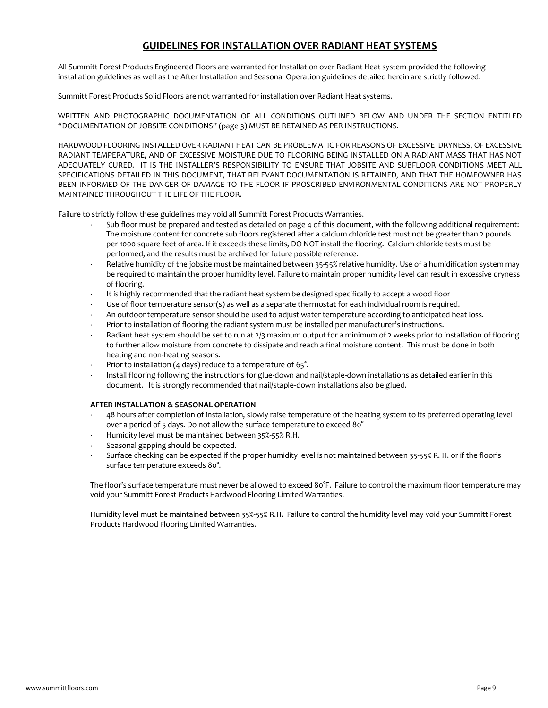## **GUIDELINES FOR INSTALLATION OVER RADIANT HEAT SYSTEMS**

All Summitt Forest Products Engineered Floors are warranted for Installation over Radiant Heat system provided the following installation guidelines as well as the After Installation and Seasonal Operation guidelines detailed herein are strictly followed.

Summitt Forest Products Solid Floors are not warranted for installation over Radiant Heat systems.

WRITTEN AND PHOTOGRAPHIC DOCUMENTATION OF ALL CONDITIONS OUTLINED BELOW AND UNDER THE SECTION ENTITLED "DOCUMENTATION OF JOBSITE CONDITIONS" (page 3) MUST BE RETAINED AS PER INSTRUCTIONS.

HARDWOOD FLOORING INSTALLED OVER RADIANT HEAT CAN BE PROBLEMATIC FOR REASONS OF EXCESSIVE DRYNESS, OF EXCESSIVE RADIANT TEMPERATURE, AND OF EXCESSIVE MOISTURE DUE TO FLOORING BEING INSTALLED ON A RADIANT MASS THAT HAS NOT ADEQUATELY CURED. IT IS THE INSTALLER'S RESPONSIBILITY TO ENSURE THAT JOBSITE AND SUBFLOOR CONDITIONS MEET ALL SPECIFICATIONS DETAILED IN THIS DOCUMENT, THAT RELEVANT DOCUMENTATION IS RETAINED, AND THAT THE HOMEOWNER HAS BEEN INFORMED OF THE DANGER OF DAMAGE TO THE FLOOR IF PROSCRIBED ENVIRONMENTAL CONDITIONS ARE NOT PROPERLY MAINTAINED THROUGHOUT THE LIFE OF THE FLOOR.

Failure to strictly follow these guidelines may void all Summitt Forest ProductsWarranties.

- Sub floor must be prepared and tested as detailed on page 4 of this document, with the following additional requirement: The moisture content for concrete sub floors registered after a calcium chloride test must not be greater than 2 pounds per 1000 square feet of area. If it exceeds these limits, DO NOT install the flooring. Calcium chloride tests must be performed, and the results must be archived for future possible reference.
- Relative humidity of the jobsite must be maintained between 35-55% relative humidity. Use of a humidification system may be required to maintain the proper humidity level. Failure to maintain proper humidity level can result in excessive dryness of flooring.
- It is highly recommended that the radiant heat system be designed specifically to accept a wood floor
- Use of floor temperature sensor(s) as well as a separate thermostat for each individual room is required.
- An outdoor temperature sensor should be used to adjust water temperature according to anticipated heat loss.
- Prior to installation of flooring the radiant system must be installed per manufacturer's instructions.
- Radiant heat system should be set to run at 2/3 maximum output for a minimum of 2 weeks prior to installation of flooring to further allow moisture from concrete to dissipate and reach a final moisture content. This must be done in both heating and non-heating seasons.
- Prior to installation (4 days) reduce to a temperature of 65°.
- Install flooring following the instructions for glue-down and nail/staple-down installations as detailed earlier in this document. It is strongly recommended that nail/staple-down installations also be glued.

#### **AFTER INSTALLATION & SEASONAL OPERATION**

- 48 hours after completion of installation, slowly raise temperature of the heating system to its preferred operating level over a period of 5 days. Do not allow the surface temperature to exceed 80°
- Humidity level must be maintained between 35%-55% R.H.
- Seasonal gapping should be expected.
- Surface checking can be expected if the proper humidity level is not maintained between 35-55% R. H. or if the floor's surface temperature exceeds 80°.

The floor's surface temperature must never be allowed to exceed 80°F. Failure to control the maximum floor temperature may void your Summitt Forest Products Hardwood Flooring Limited Warranties.

Humidity level must be maintained between 35%-55% R.H. Failure to control the humidity level may void your Summitt Forest ProductsHardwood Flooring Limited Warranties.